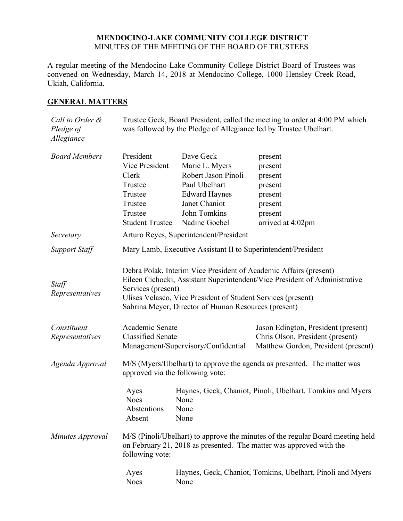## **MENDOCINO-LAKE COMMUNITY COLLEGE DISTRICT** MINUTES OF THE MEETING OF THE BOARD OF TRUSTEES

A regular meeting of the Mendocino-Lake Community College District Board of Trustees was convened on Wednesday, March 14, 2018 at Mendocino College, 1000 Hensley Creek Road, Ukiah, California.

## **GENERAL MATTERS**

| Call to Order &<br>Pledge of<br>Allegiance | Trustee Geck, Board President, called the meeting to order at 4:00 PM which<br>was followed by the Pledge of Allegiance led by Trustee Ubelhart.                                                                                                                                              |                             |                                                                                                                |
|--------------------------------------------|-----------------------------------------------------------------------------------------------------------------------------------------------------------------------------------------------------------------------------------------------------------------------------------------------|-----------------------------|----------------------------------------------------------------------------------------------------------------|
| <b>Board Members</b>                       | President<br>Vice President                                                                                                                                                                                                                                                                   | Dave Geck<br>Marie L. Myers | present<br>present                                                                                             |
|                                            | Clerk                                                                                                                                                                                                                                                                                         | Robert Jason Pinoli         | present                                                                                                        |
|                                            | Trustee                                                                                                                                                                                                                                                                                       | Paul Ubelhart               | present                                                                                                        |
|                                            | Trustee                                                                                                                                                                                                                                                                                       | <b>Edward Haynes</b>        | present                                                                                                        |
|                                            | Trustee                                                                                                                                                                                                                                                                                       | Janet Chaniot               | present                                                                                                        |
|                                            | Trustee                                                                                                                                                                                                                                                                                       | John Tomkins                | present                                                                                                        |
|                                            | <b>Student Trustee</b>                                                                                                                                                                                                                                                                        | Nadine Goebel               | arrived at 4:02pm                                                                                              |
| Secretary                                  | Arturo Reyes, Superintendent/President                                                                                                                                                                                                                                                        |                             |                                                                                                                |
| <b>Support Staff</b>                       | Mary Lamb, Executive Assistant II to Superintendent/President                                                                                                                                                                                                                                 |                             |                                                                                                                |
| Staff<br>Representatives                   | Debra Polak, Interim Vice President of Academic Affairs (present)<br>Eileen Cichocki, Assistant Superintendent/Vice President of Administrative<br>Services (present)<br>Ulises Velasco, Vice President of Student Services (present)<br>Sabrina Meyer, Director of Human Resources (present) |                             |                                                                                                                |
| Constituent<br>Representatives             | Academic Senate<br><b>Classified Senate</b><br>Management/Supervisory/Confidential                                                                                                                                                                                                            |                             | Jason Edington, President (present)<br>Chris Olson, President (present)<br>Matthew Gordon, President (present) |
| Agenda Approval                            | M/S (Myers/Ubelhart) to approve the agenda as presented. The matter was<br>approved via the following vote:                                                                                                                                                                                   |                             |                                                                                                                |
|                                            | Ayes<br><b>Noes</b><br>Abstentions<br>Absent                                                                                                                                                                                                                                                  | None<br>None<br>None        | Haynes, Geck, Chaniot, Pinoli, Ubelhart, Tomkins and Myers                                                     |
| Minutes Approval                           | M/S (Pinoli/Ubelhart) to approve the minutes of the regular Board meeting held<br>on February 21, 2018 as presented. The matter was approved with the<br>following vote:                                                                                                                      |                             |                                                                                                                |
|                                            | Ayes<br><b>Noes</b>                                                                                                                                                                                                                                                                           | None                        | Haynes, Geck, Chaniot, Tomkins, Ubelhart, Pinoli and Myers                                                     |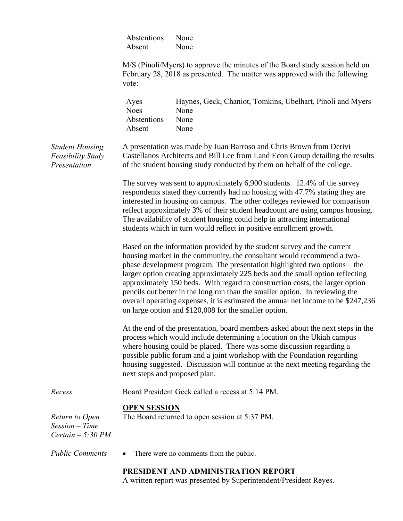|                                                                    | Abstentions<br>Absent                                                                                                                                                                                                                                                                                                                                                                                                                                                                                                                                                                                                         | None<br>None                                                                                                                                               |  |
|--------------------------------------------------------------------|-------------------------------------------------------------------------------------------------------------------------------------------------------------------------------------------------------------------------------------------------------------------------------------------------------------------------------------------------------------------------------------------------------------------------------------------------------------------------------------------------------------------------------------------------------------------------------------------------------------------------------|------------------------------------------------------------------------------------------------------------------------------------------------------------|--|
|                                                                    | vote:                                                                                                                                                                                                                                                                                                                                                                                                                                                                                                                                                                                                                         | M/S (Pinoli/Myers) to approve the minutes of the Board study session held on<br>February 28, 2018 as presented. The matter was approved with the following |  |
|                                                                    | Ayes<br><b>Noes</b><br>Abstentions<br>Absent                                                                                                                                                                                                                                                                                                                                                                                                                                                                                                                                                                                  | Haynes, Geck, Chaniot, Tomkins, Ubelhart, Pinoli and Myers<br>None<br>None<br>None                                                                         |  |
| <b>Student Housing</b><br><b>Feasibility Study</b><br>Presentation | A presentation was made by Juan Barroso and Chris Brown from Derivi<br>Castellanos Architects and Bill Lee from Land Econ Group detailing the results<br>of the student housing study conducted by them on behalf of the college.                                                                                                                                                                                                                                                                                                                                                                                             |                                                                                                                                                            |  |
|                                                                    | The survey was sent to approximately 6,900 students. 12.4% of the survey<br>respondents stated they currently had no housing with 47.7% stating they are<br>interested in housing on campus. The other colleges reviewed for comparison<br>reflect approximately 3% of their student headcount are using campus housing.<br>The availability of student housing could help in attracting international<br>students which in turn would reflect in positive enrollment growth.                                                                                                                                                 |                                                                                                                                                            |  |
|                                                                    | Based on the information provided by the student survey and the current<br>housing market in the community, the consultant would recommend a two-<br>phase development program. The presentation highlighted two options – the<br>larger option creating approximately 225 beds and the small option reflecting<br>approximately 150 beds. With regard to construction costs, the larger option<br>pencils out better in the long run than the smaller option. In reviewing the<br>overall operating expenses, it is estimated the annual net income to be \$247,236<br>on large option and \$120,008 for the smaller option. |                                                                                                                                                            |  |
|                                                                    | At the end of the presentation, board members asked about the next steps in the<br>process which would include determining a location on the Ukiah campus<br>where housing could be placed. There was some discussion regarding a<br>possible public forum and a joint workshop with the Foundation regarding<br>housing suggested. Discussion will continue at the next meeting regarding the<br>next steps and proposed plan.                                                                                                                                                                                               |                                                                                                                                                            |  |
| Recess                                                             |                                                                                                                                                                                                                                                                                                                                                                                                                                                                                                                                                                                                                               | Board President Geck called a recess at 5:14 PM.                                                                                                           |  |
| Return to Open<br>$Session-Time$<br>Certain $-5:30 PM$             | <b>OPEN SESSION</b>                                                                                                                                                                                                                                                                                                                                                                                                                                                                                                                                                                                                           | The Board returned to open session at 5:37 PM.                                                                                                             |  |
| <b>Public Comments</b>                                             |                                                                                                                                                                                                                                                                                                                                                                                                                                                                                                                                                                                                                               | There were no comments from the public.                                                                                                                    |  |
|                                                                    |                                                                                                                                                                                                                                                                                                                                                                                                                                                                                                                                                                                                                               | PRESIDENT AND ADMINISTRATION REPORT<br>A written report was presented by Superintendent/President Reyes.                                                   |  |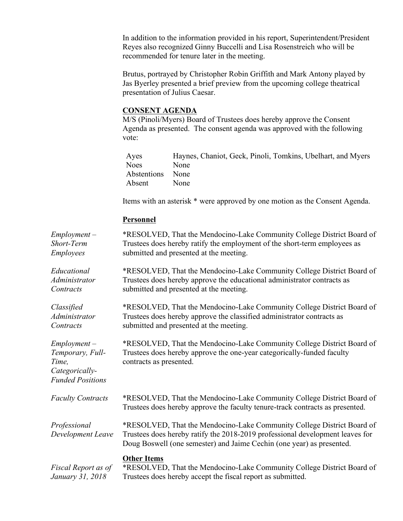In addition to the information provided in his report, Superintendent/President Reyes also recognized Ginny Buccelli and Lisa Rosenstreich who will be recommended for tenure later in the meeting.

Brutus, portrayed by Christopher Robin Griffith and Mark Antony played by Jas Byerley presented a brief preview from the upcoming college theatrical presentation of Julius Caesar.

# **CONSENT AGENDA**

M/S (Pinoli/Myers) Board of Trustees does hereby approve the Consent Agenda as presented. The consent agenda was approved with the following vote:

| Ayes             | Haynes, Chaniot, Geck, Pinoli, Tomkins, Ubelhart, and Myers |
|------------------|-------------------------------------------------------------|
| Noes             | None                                                        |
| Abstentions None |                                                             |
| Absent           | None                                                        |

Items with an asterisk \* were approved by one motion as the Consent Agenda.

# **Personnel**

| $Employment -$<br>Short-Term<br><b>Employees</b>                                         | *RESOLVED, That the Mendocino-Lake Community College District Board of<br>Trustees does hereby ratify the employment of the short-term employees as<br>submitted and presented at the meeting.                                   |
|------------------------------------------------------------------------------------------|----------------------------------------------------------------------------------------------------------------------------------------------------------------------------------------------------------------------------------|
| Educational<br>Administrator<br>Contracts                                                | *RESOLVED, That the Mendocino-Lake Community College District Board of<br>Trustees does hereby approve the educational administrator contracts as<br>submitted and presented at the meeting.                                     |
| Classified<br>Administrator<br>Contracts                                                 | *RESOLVED, That the Mendocino-Lake Community College District Board of<br>Trustees does hereby approve the classified administrator contracts as<br>submitted and presented at the meeting.                                      |
| $Employment -$<br>Temporary, Full-<br>Time,<br>Categorically-<br><b>Funded Positions</b> | *RESOLVED, That the Mendocino-Lake Community College District Board of<br>Trustees does hereby approve the one-year categorically-funded faculty<br>contracts as presented.                                                      |
| <b>Faculty Contracts</b>                                                                 | *RESOLVED, That the Mendocino-Lake Community College District Board of<br>Trustees does hereby approve the faculty tenure-track contracts as presented.                                                                          |
| Professional<br>Development Leave                                                        | *RESOLVED, That the Mendocino-Lake Community College District Board of<br>Trustees does hereby ratify the 2018-2019 professional development leaves for<br>Doug Boswell (one semester) and Jaime Cechin (one year) as presented. |
| Fiscal Report as of<br>January 31, 2018                                                  | <b>Other Items</b><br>*RESOLVED, That the Mendocino-Lake Community College District Board of<br>Trustees does hereby accept the fiscal report as submitted.                                                                      |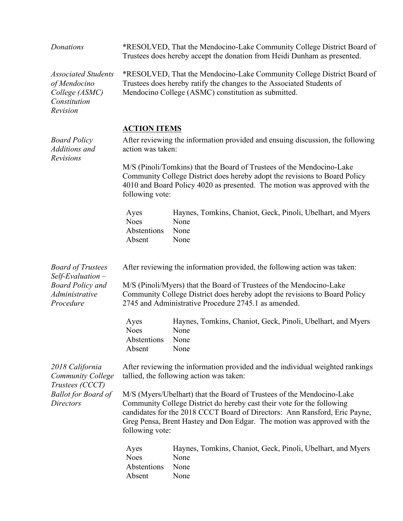| Donations                                                                                                        | *RESOLVED, That the Mendocino-Lake Community College District Board of<br>Trustees does hereby accept the donation from Heidi Dunham as presented.                                                                                                                                                                           |                                                                                     |  |
|------------------------------------------------------------------------------------------------------------------|------------------------------------------------------------------------------------------------------------------------------------------------------------------------------------------------------------------------------------------------------------------------------------------------------------------------------|-------------------------------------------------------------------------------------|--|
| <b>Associated Students</b><br>of Mendocino<br>College (ASMC)<br>Constitution<br>Revision                         | *RESOLVED, That the Mendocino-Lake Community College District Board of<br>Trustees does hereby ratify the changes to the Associated Students of<br>Mendocino College (ASMC) constitution as submitted.                                                                                                                       |                                                                                     |  |
| <b>Board Policy</b><br>Additions and<br>Revisions                                                                | <b>ACTION ITEMS</b><br>After reviewing the information provided and ensuing discussion, the following<br>action was taken:                                                                                                                                                                                                   |                                                                                     |  |
|                                                                                                                  | M/S (Pinoli/Tomkins) that the Board of Trustees of the Mendocino-Lake<br>Community College District does hereby adopt the revisions to Board Policy<br>4010 and Board Policy 4020 as presented. The motion was approved with the<br>following vote:                                                                          |                                                                                     |  |
|                                                                                                                  | Ayes<br><b>Noes</b><br>Abstentions<br>Absent                                                                                                                                                                                                                                                                                 | Haynes, Tomkins, Chaniot, Geck, Pinoli, Ubelhart, and Myers<br>None<br>None<br>None |  |
| <b>Board of Trustees</b><br>$Self$ Evaluation $-$                                                                | After reviewing the information provided, the following action was taken:                                                                                                                                                                                                                                                    |                                                                                     |  |
| <b>Board Policy and</b><br>Administrative<br>Procedure                                                           | M/S (Pinoli/Myers) that the Board of Trustees of the Mendocino-Lake<br>Community College District does hereby adopt the revisions to Board Policy<br>2745 and Administrative Procedure 2745.1 as amended.                                                                                                                    |                                                                                     |  |
|                                                                                                                  | Ayes<br><b>Noes</b><br>Abstentions<br>Absent                                                                                                                                                                                                                                                                                 | Haynes, Tomkins, Chaniot, Geck, Pinoli, Ubelhart, and Myers<br>None<br>None<br>None |  |
| 2018 California<br><b>Community College</b><br>Trustees (CCCT)<br><b>Ballot for Board of</b><br><b>Directors</b> | After reviewing the information provided and the individual weighted rankings<br>tallied, the following action was taken:                                                                                                                                                                                                    |                                                                                     |  |
|                                                                                                                  | M/S (Myers/Ubelhart) that the Board of Trustees of the Mendocino-Lake<br>Community College District do hereby cast their vote for the following<br>candidates for the 2018 CCCT Board of Directors: Ann Ransford, Eric Payne,<br>Greg Pensa, Brent Hastey and Don Edgar. The motion was approved with the<br>following vote: |                                                                                     |  |
|                                                                                                                  | Ayes<br><b>Noes</b><br>Abstentions<br>Absent                                                                                                                                                                                                                                                                                 | Haynes, Tomkins, Chaniot, Geck, Pinoli, Ubelhart, and Myers<br>None<br>None<br>None |  |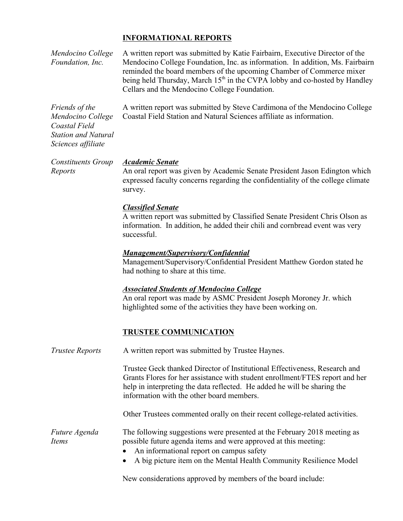## **INFORMATIONAL REPORTS**

*Mendocino College Foundation, Inc.* A written report was submitted by Katie Fairbairn, Executive Director of the Mendocino College Foundation, Inc. as information. In addition, Ms. Fairbairn reminded the board members of the upcoming Chamber of Commerce mixer being held Thursday, March  $15<sup>th</sup>$  in the CVPA lobby and co-hosted by Handley Cellars and the Mendocino College Foundation. *Friends of the*  A written report was submitted by Steve Cardimona of the Mendocino College

Coastal Field Station and Natural Sciences affiliate as information.

*Mendocino College Coastal Field Station and Natural Sciences affiliate*

*Reports*

#### *Constituents Group Academic Senate*

An oral report was given by Academic Senate President Jason Edington which expressed faculty concerns regarding the confidentiality of the college climate survey.

#### *Classified Senate*

A written report was submitted by Classified Senate President Chris Olson as information. In addition, he added their chili and cornbread event was very successful.

#### *Management/Supervisory/Confidential*

Management/Supervisory/Confidential President Matthew Gordon stated he had nothing to share at this time.

#### *Associated Students of Mendocino College*

An oral report was made by ASMC President Joseph Moroney Jr. which highlighted some of the activities they have been working on.

### **TRUSTEE COMMUNICATION**

| Trustee Reports        | A written report was submitted by Trustee Haynes.                                                                                                                                                                                                                                   |  |  |
|------------------------|-------------------------------------------------------------------------------------------------------------------------------------------------------------------------------------------------------------------------------------------------------------------------------------|--|--|
|                        | Trustee Geck thanked Director of Institutional Effectiveness, Research and<br>Grants Flores for her assistance with student enrollment/FTES report and her<br>help in interpreting the data reflected. He added he will be sharing the<br>information with the other board members. |  |  |
|                        | Other Trustees commented orally on their recent college-related activities.                                                                                                                                                                                                         |  |  |
| Future Agenda<br>Items | The following suggestions were presented at the February 2018 meeting as<br>possible future agenda items and were approved at this meeting:<br>• An informational report on campus safety<br>• A big picture item on the Mental Health Community Resilience Model                   |  |  |

New considerations approved by members of the board include: